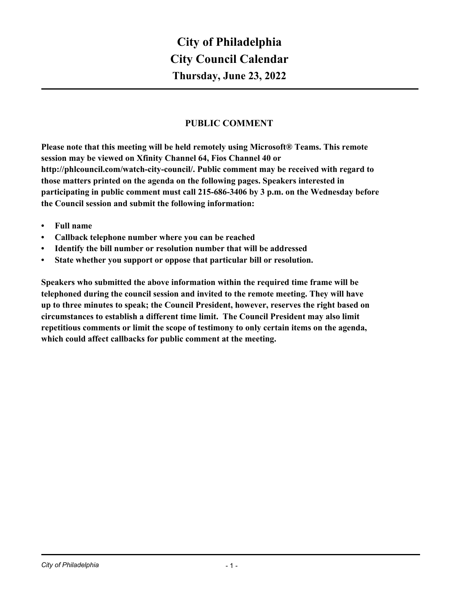# **PUBLIC COMMENT**

**Please note that this meeting will be held remotely using Microsoft® Teams. This remote session may be viewed on Xfinity Channel 64, Fios Channel 40 or http://phlcouncil.com/watch-city-council/. Public comment may be received with regard to those matters printed on the agenda on the following pages. Speakers interested in participating in public comment must call 215-686-3406 by 3 p.m. on the Wednesday before the Council session and submit the following information:**

- **• Full name**
- **• Callback telephone number where you can be reached**
- **• Identify the bill number or resolution number that will be addressed**
- **• State whether you support or oppose that particular bill or resolution.**

**Speakers who submitted the above information within the required time frame will be telephoned during the council session and invited to the remote meeting. They will have up to three minutes to speak; the Council President, however, reserves the right based on circumstances to establish a different time limit. The Council President may also limit repetitious comments or limit the scope of testimony to only certain items on the agenda, which could affect callbacks for public comment at the meeting.**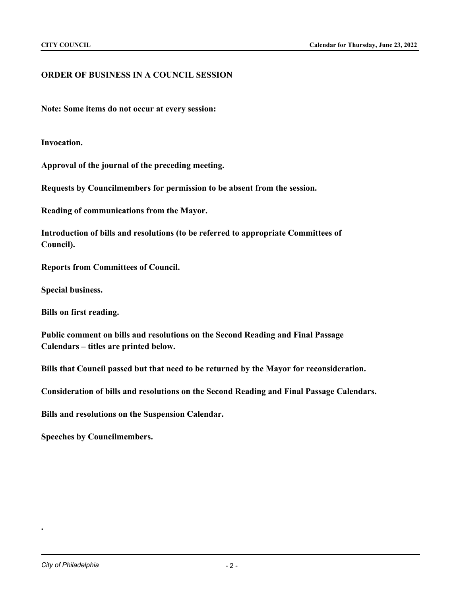# **ORDER OF BUSINESS IN A COUNCIL SESSION**

**Note: Some items do not occur at every session:**

**Invocation.**

**Approval of the journal of the preceding meeting.**

**Requests by Councilmembers for permission to be absent from the session.**

**Reading of communications from the Mayor.**

**Introduction of bills and resolutions (to be referred to appropriate Committees of Council).**

**Reports from Committees of Council.**

**Special business.**

**Bills on first reading.**

**Public comment on bills and resolutions on the Second Reading and Final Passage Calendars – titles are printed below.**

**Bills that Council passed but that need to be returned by the Mayor for reconsideration.**

**Consideration of bills and resolutions on the Second Reading and Final Passage Calendars.**

**Bills and resolutions on the Suspension Calendar.**

**Speeches by Councilmembers.**

**.**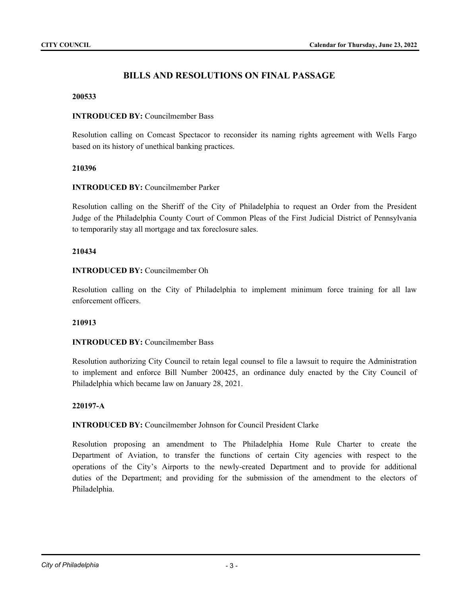# **BILLS AND RESOLUTIONS ON FINAL PASSAGE**

#### **200533**

## **INTRODUCED BY:** Councilmember Bass

Resolution calling on Comcast Spectacor to reconsider its naming rights agreement with Wells Fargo based on its history of unethical banking practices.

### **210396**

### **INTRODUCED BY:** Councilmember Parker

Resolution calling on the Sheriff of the City of Philadelphia to request an Order from the President Judge of the Philadelphia County Court of Common Pleas of the First Judicial District of Pennsylvania to temporarily stay all mortgage and tax foreclosure sales.

### **210434**

### **INTRODUCED BY:** Councilmember Oh

Resolution calling on the City of Philadelphia to implement minimum force training for all law enforcement officers.

#### **210913**

# **INTRODUCED BY:** Councilmember Bass

Resolution authorizing City Council to retain legal counsel to file a lawsuit to require the Administration to implement and enforce Bill Number 200425, an ordinance duly enacted by the City Council of Philadelphia which became law on January 28, 2021.

# **220197-A**

# **INTRODUCED BY:** Councilmember Johnson for Council President Clarke

Resolution proposing an amendment to The Philadelphia Home Rule Charter to create the Department of Aviation, to transfer the functions of certain City agencies with respect to the operations of the City's Airports to the newly-created Department and to provide for additional duties of the Department; and providing for the submission of the amendment to the electors of Philadelphia.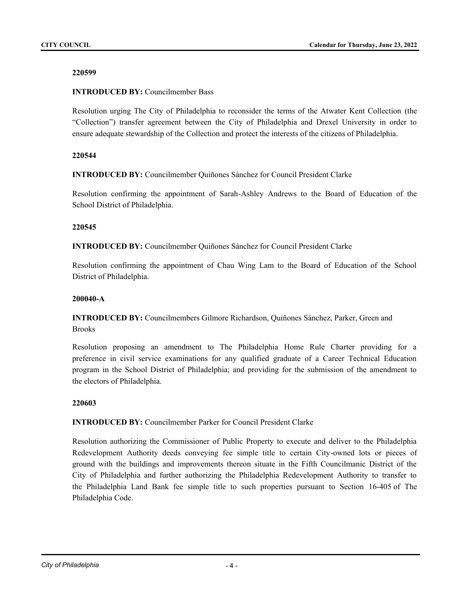# **INTRODUCED BY:** Councilmember Bass

Resolution urging The City of Philadelphia to reconsider the terms of the Atwater Kent Collection (the "Collection") transfer agreement between the City of Philadelphia and Drexel University in order to ensure adequate stewardship of the Collection and protect the interests of the citizens of Philadelphia.

# **220544**

**INTRODUCED BY:** Councilmember Quiñones Sánchez for Council President Clarke

Resolution confirming the appointment of Sarah-Ashley Andrews to the Board of Education of the School District of Philadelphia.

# **220545**

**INTRODUCED BY:** Councilmember Quiñones Sánchez for Council President Clarke

Resolution confirming the appointment of Chau Wing Lam to the Board of Education of the School District of Philadelphia.

# **200040-A**

**INTRODUCED BY:** Councilmembers Gilmore Richardson, Quiñones Sánchez, Parker, Green and **Brooks** 

Resolution proposing an amendment to The Philadelphia Home Rule Charter providing for a preference in civil service examinations for any qualified graduate of a Career Technical Education program in the School District of Philadelphia; and providing for the submission of the amendment to the electors of Philadelphia.

# **220603**

# **INTRODUCED BY:** Councilmember Parker for Council President Clarke

Resolution authorizing the Commissioner of Public Property to execute and deliver to the Philadelphia Redevelopment Authority deeds conveying fee simple title to certain City-owned lots or pieces of ground with the buildings and improvements thereon situate in the Fifth Councilmanic District of the City of Philadelphia and further authorizing the Philadelphia Redevelopment Authority to transfer to the Philadelphia Land Bank fee simple title to such properties pursuant to Section 16-405 of The Philadelphia Code.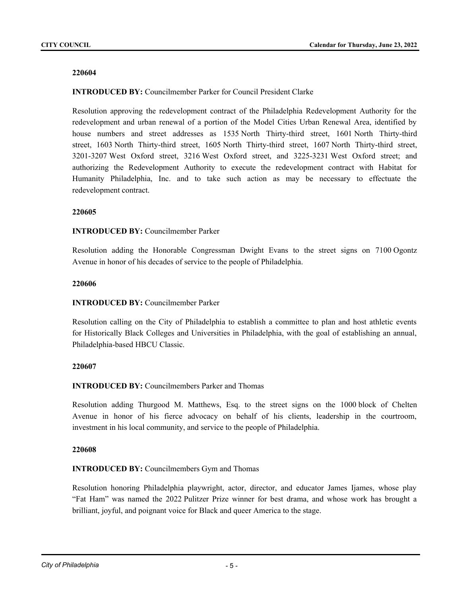## **INTRODUCED BY:** Councilmember Parker for Council President Clarke

Resolution approving the redevelopment contract of the Philadelphia Redevelopment Authority for the redevelopment and urban renewal of a portion of the Model Cities Urban Renewal Area, identified by house numbers and street addresses as 1535 North Thirty-third street, 1601 North Thirty-third street, 1603 North Thirty-third street, 1605 North Thirty-third street, 1607 North Thirty-third street, 3201-3207 West Oxford street, 3216 West Oxford street, and 3225-3231 West Oxford street; and authorizing the Redevelopment Authority to execute the redevelopment contract with Habitat for Humanity Philadelphia, Inc. and to take such action as may be necessary to effectuate the redevelopment contract.

### **220605**

### **INTRODUCED BY:** Councilmember Parker

Resolution adding the Honorable Congressman Dwight Evans to the street signs on 7100 Ogontz Avenue in honor of his decades of service to the people of Philadelphia.

### **220606**

# **INTRODUCED BY:** Councilmember Parker

Resolution calling on the City of Philadelphia to establish a committee to plan and host athletic events for Historically Black Colleges and Universities in Philadelphia, with the goal of establishing an annual, Philadelphia-based HBCU Classic.

# **220607**

# **INTRODUCED BY:** Councilmembers Parker and Thomas

Resolution adding Thurgood M. Matthews, Esq. to the street signs on the 1000 block of Chelten Avenue in honor of his fierce advocacy on behalf of his clients, leadership in the courtroom, investment in his local community, and service to the people of Philadelphia.

#### **220608**

# **INTRODUCED BY:** Councilmembers Gym and Thomas

Resolution honoring Philadelphia playwright, actor, director, and educator James Ijames, whose play "Fat Ham" was named the 2022 Pulitzer Prize winner for best drama, and whose work has brought a brilliant, joyful, and poignant voice for Black and queer America to the stage.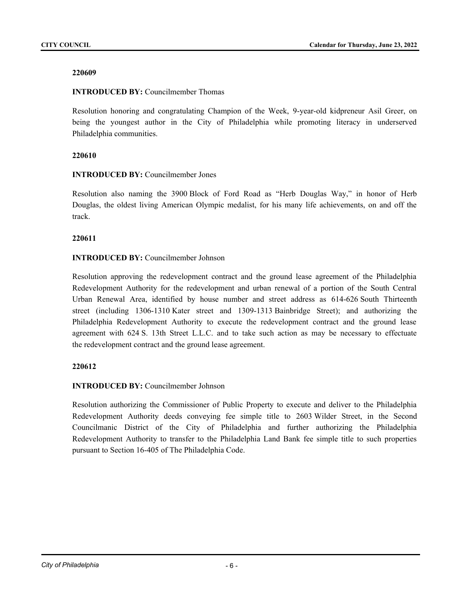# **INTRODUCED BY:** Councilmember Thomas

Resolution honoring and congratulating Champion of the Week, 9-year-old kidpreneur Asil Greer, on being the youngest author in the City of Philadelphia while promoting literacy in underserved Philadelphia communities.

# **220610**

# **INTRODUCED BY:** Councilmember Jones

Resolution also naming the 3900 Block of Ford Road as "Herb Douglas Way," in honor of Herb Douglas, the oldest living American Olympic medalist, for his many life achievements, on and off the track.

# **220611**

# **INTRODUCED BY:** Councilmember Johnson

Resolution approving the redevelopment contract and the ground lease agreement of the Philadelphia Redevelopment Authority for the redevelopment and urban renewal of a portion of the South Central Urban Renewal Area, identified by house number and street address as 614-626 South Thirteenth street (including 1306-1310 Kater street and 1309-1313 Bainbridge Street); and authorizing the Philadelphia Redevelopment Authority to execute the redevelopment contract and the ground lease agreement with 624 S. 13th Street L.L.C. and to take such action as may be necessary to effectuate the redevelopment contract and the ground lease agreement.

# **220612**

# **INTRODUCED BY:** Councilmember Johnson

Resolution authorizing the Commissioner of Public Property to execute and deliver to the Philadelphia Redevelopment Authority deeds conveying fee simple title to 2603 Wilder Street, in the Second Councilmanic District of the City of Philadelphia and further authorizing the Philadelphia Redevelopment Authority to transfer to the Philadelphia Land Bank fee simple title to such properties pursuant to Section 16-405 of The Philadelphia Code.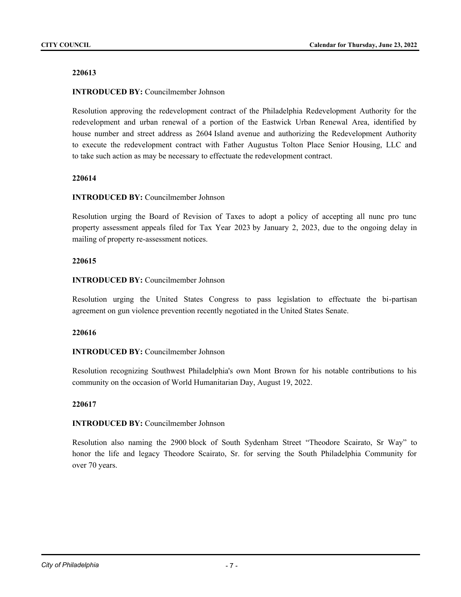## **INTRODUCED BY:** Councilmember Johnson

Resolution approving the redevelopment contract of the Philadelphia Redevelopment Authority for the redevelopment and urban renewal of a portion of the Eastwick Urban Renewal Area, identified by house number and street address as 2604 Island avenue and authorizing the Redevelopment Authority to execute the redevelopment contract with Father Augustus Tolton Place Senior Housing, LLC and to take such action as may be necessary to effectuate the redevelopment contract.

## **220614**

### **INTRODUCED BY:** Councilmember Johnson

Resolution urging the Board of Revision of Taxes to adopt a policy of accepting all nunc pro tunc property assessment appeals filed for Tax Year 2023 by January 2, 2023, due to the ongoing delay in mailing of property re-assessment notices.

### **220615**

# **INTRODUCED BY:** Councilmember Johnson

Resolution urging the United States Congress to pass legislation to effectuate the bi-partisan agreement on gun violence prevention recently negotiated in the United States Senate.

#### **220616**

# **INTRODUCED BY:** Councilmember Johnson

Resolution recognizing Southwest Philadelphia's own Mont Brown for his notable contributions to his community on the occasion of World Humanitarian Day, August 19, 2022.

#### **220617**

#### **INTRODUCED BY:** Councilmember Johnson

Resolution also naming the 2900 block of South Sydenham Street "Theodore Scairato, Sr Way" to honor the life and legacy Theodore Scairato, Sr. for serving the South Philadelphia Community for over 70 years.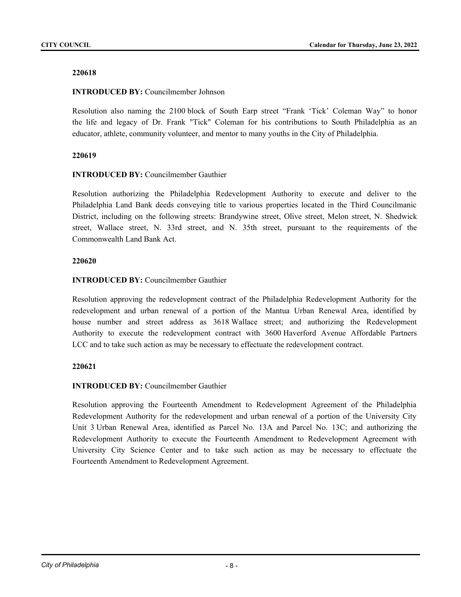# **INTRODUCED BY:** Councilmember Johnson

Resolution also naming the 2100 block of South Earp street "Frank 'Tick' Coleman Way" to honor the life and legacy of Dr. Frank "Tick" Coleman for his contributions to South Philadelphia as an educator, athlete, community volunteer, and mentor to many youths in the City of Philadelphia.

# **220619**

# **INTRODUCED BY:** Councilmember Gauthier

Resolution authorizing the Philadelphia Redevelopment Authority to execute and deliver to the Philadelphia Land Bank deeds conveying title to various properties located in the Third Councilmanic District, including on the following streets: Brandywine street, Olive street, Melon street, N. Shedwick street, Wallace street, N. 33rd street, and N. 35th street, pursuant to the requirements of the Commonwealth Land Bank Act.

# **220620**

# **INTRODUCED BY:** Councilmember Gauthier

Resolution approving the redevelopment contract of the Philadelphia Redevelopment Authority for the redevelopment and urban renewal of a portion of the Mantua Urban Renewal Area, identified by house number and street address as 3618 Wallace street; and authorizing the Redevelopment Authority to execute the redevelopment contract with 3600 Haverford Avenue Affordable Partners LCC and to take such action as may be necessary to effectuate the redevelopment contract.

# **220621**

# **INTRODUCED BY:** Councilmember Gauthier

Resolution approving the Fourteenth Amendment to Redevelopment Agreement of the Philadelphia Redevelopment Authority for the redevelopment and urban renewal of a portion of the University City Unit 3 Urban Renewal Area, identified as Parcel No. 13A and Parcel No. 13C; and authorizing the Redevelopment Authority to execute the Fourteenth Amendment to Redevelopment Agreement with University City Science Center and to take such action as may be necessary to effectuate the Fourteenth Amendment to Redevelopment Agreement.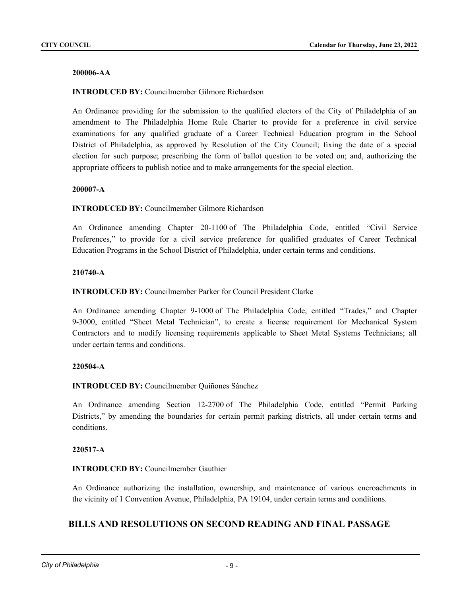## **200006-AA**

## **INTRODUCED BY:** Councilmember Gilmore Richardson

An Ordinance providing for the submission to the qualified electors of the City of Philadelphia of an amendment to The Philadelphia Home Rule Charter to provide for a preference in civil service examinations for any qualified graduate of a Career Technical Education program in the School District of Philadelphia, as approved by Resolution of the City Council; fixing the date of a special election for such purpose; prescribing the form of ballot question to be voted on; and, authorizing the appropriate officers to publish notice and to make arrangements for the special election.

#### **200007-A**

### **INTRODUCED BY:** Councilmember Gilmore Richardson

An Ordinance amending Chapter 20-1100 of The Philadelphia Code, entitled "Civil Service Preferences," to provide for a civil service preference for qualified graduates of Career Technical Education Programs in the School District of Philadelphia, under certain terms and conditions.

#### **210740-A**

**INTRODUCED BY:** Councilmember Parker for Council President Clarke

An Ordinance amending Chapter 9-1000 of The Philadelphia Code, entitled "Trades," and Chapter 9-3000, entitled "Sheet Metal Technician", to create a license requirement for Mechanical System Contractors and to modify licensing requirements applicable to Sheet Metal Systems Technicians; all under certain terms and conditions.

#### **220504-A**

**INTRODUCED BY:** Councilmember Quiñones Sánchez

An Ordinance amending Section 12-2700 of The Philadelphia Code, entitled "Permit Parking Districts," by amending the boundaries for certain permit parking districts, all under certain terms and conditions.

#### **220517-A**

# **INTRODUCED BY:** Councilmember Gauthier

An Ordinance authorizing the installation, ownership, and maintenance of various encroachments in the vicinity of 1 Convention Avenue, Philadelphia, PA 19104, under certain terms and conditions.

# **BILLS AND RESOLUTIONS ON SECOND READING AND FINAL PASSAGE**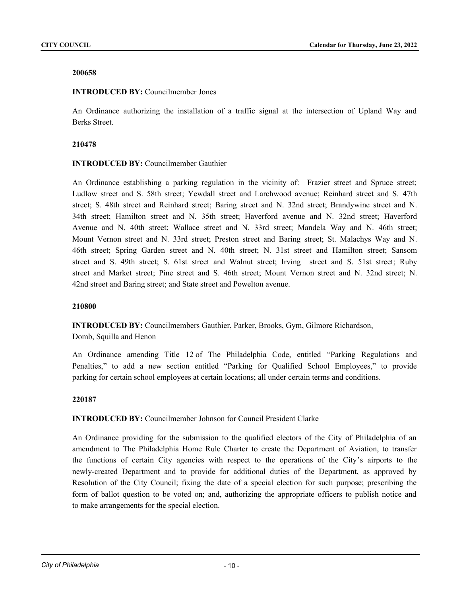### **INTRODUCED BY:** Councilmember Jones

An Ordinance authorizing the installation of a traffic signal at the intersection of Upland Way and Berks Street.

### **210478**

# **INTRODUCED BY:** Councilmember Gauthier

An Ordinance establishing a parking regulation in the vicinity of: Frazier street and Spruce street; Ludlow street and S. 58th street; Yewdall street and Larchwood avenue; Reinhard street and S. 47th street; S. 48th street and Reinhard street; Baring street and N. 32nd street; Brandywine street and N. 34th street; Hamilton street and N. 35th street; Haverford avenue and N. 32nd street; Haverford Avenue and N. 40th street; Wallace street and N. 33rd street; Mandela Way and N. 46th street; Mount Vernon street and N. 33rd street; Preston street and Baring street; St. Malachys Way and N. 46th street; Spring Garden street and N. 40th street; N. 31st street and Hamilton street; Sansom street and S. 49th street; S. 61st street and Walnut street; Irving street and S. 51st street; Ruby street and Market street; Pine street and S. 46th street; Mount Vernon street and N. 32nd street; N. 42nd street and Baring street; and State street and Powelton avenue.

# **210800**

**INTRODUCED BY:** Councilmembers Gauthier, Parker, Brooks, Gym, Gilmore Richardson, Domb, Squilla and Henon

An Ordinance amending Title 12 of The Philadelphia Code, entitled "Parking Regulations and Penalties," to add a new section entitled "Parking for Qualified School Employees," to provide parking for certain school employees at certain locations; all under certain terms and conditions.

# **220187**

# **INTRODUCED BY:** Councilmember Johnson for Council President Clarke

An Ordinance providing for the submission to the qualified electors of the City of Philadelphia of an amendment to The Philadelphia Home Rule Charter to create the Department of Aviation, to transfer the functions of certain City agencies with respect to the operations of the City's airports to the newly-created Department and to provide for additional duties of the Department, as approved by Resolution of the City Council; fixing the date of a special election for such purpose; prescribing the form of ballot question to be voted on; and, authorizing the appropriate officers to publish notice and to make arrangements for the special election.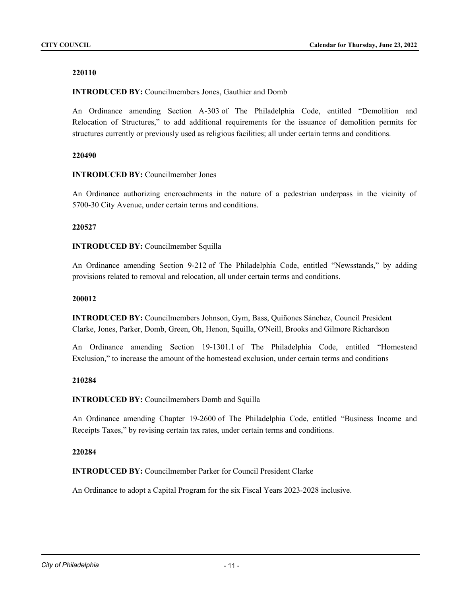## **INTRODUCED BY:** Councilmembers Jones, Gauthier and Domb

An Ordinance amending Section A-303 of The Philadelphia Code, entitled "Demolition and Relocation of Structures," to add additional requirements for the issuance of demolition permits for structures currently or previously used as religious facilities; all under certain terms and conditions.

### **220490**

### **INTRODUCED BY:** Councilmember Jones

An Ordinance authorizing encroachments in the nature of a pedestrian underpass in the vicinity of 5700-30 City Avenue, under certain terms and conditions.

#### **220527**

### **INTRODUCED BY:** Councilmember Squilla

An Ordinance amending Section 9-212 of The Philadelphia Code, entitled "Newsstands," by adding provisions related to removal and relocation, all under certain terms and conditions.

#### **200012**

**INTRODUCED BY:** Councilmembers Johnson, Gym, Bass, Quiñones Sánchez, Council President Clarke, Jones, Parker, Domb, Green, Oh, Henon, Squilla, O'Neill, Brooks and Gilmore Richardson

An Ordinance amending Section 19-1301.1 of The Philadelphia Code, entitled "Homestead Exclusion," to increase the amount of the homestead exclusion, under certain terms and conditions

#### **210284**

# **INTRODUCED BY:** Councilmembers Domb and Squilla

An Ordinance amending Chapter 19-2600 of The Philadelphia Code, entitled "Business Income and Receipts Taxes," by revising certain tax rates, under certain terms and conditions.

#### **220284**

**INTRODUCED BY:** Councilmember Parker for Council President Clarke

An Ordinance to adopt a Capital Program for the six Fiscal Years 2023-2028 inclusive.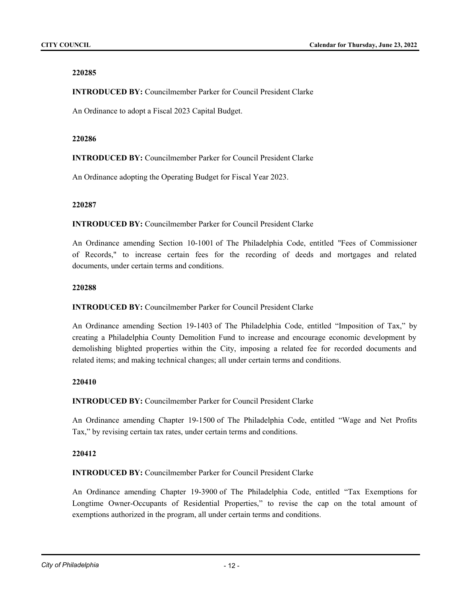**INTRODUCED BY:** Councilmember Parker for Council President Clarke

An Ordinance to adopt a Fiscal 2023 Capital Budget.

## **220286**

**INTRODUCED BY:** Councilmember Parker for Council President Clarke

An Ordinance adopting the Operating Budget for Fiscal Year 2023.

### **220287**

**INTRODUCED BY:** Councilmember Parker for Council President Clarke

An Ordinance amending Section 10-1001 of The Philadelphia Code, entitled "Fees of Commissioner of Records," to increase certain fees for the recording of deeds and mortgages and related documents, under certain terms and conditions.

### **220288**

**INTRODUCED BY:** Councilmember Parker for Council President Clarke

An Ordinance amending Section 19-1403 of The Philadelphia Code, entitled "Imposition of Tax," by creating a Philadelphia County Demolition Fund to increase and encourage economic development by demolishing blighted properties within the City, imposing a related fee for recorded documents and related items; and making technical changes; all under certain terms and conditions.

# **220410**

**INTRODUCED BY:** Councilmember Parker for Council President Clarke

An Ordinance amending Chapter 19-1500 of The Philadelphia Code, entitled "Wage and Net Profits Tax," by revising certain tax rates, under certain terms and conditions.

# **220412**

**INTRODUCED BY:** Councilmember Parker for Council President Clarke

An Ordinance amending Chapter 19-3900 of The Philadelphia Code, entitled "Tax Exemptions for Longtime Owner-Occupants of Residential Properties," to revise the cap on the total amount of exemptions authorized in the program, all under certain terms and conditions.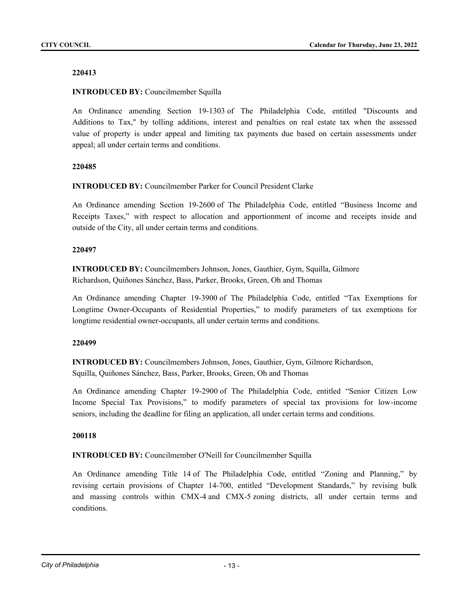## **INTRODUCED BY:** Councilmember Squilla

An Ordinance amending Section 19-1303 of The Philadelphia Code, entitled "Discounts and Additions to Tax," by tolling additions, interest and penalties on real estate tax when the assessed value of property is under appeal and limiting tax payments due based on certain assessments under appeal; all under certain terms and conditions.

### **220485**

**INTRODUCED BY:** Councilmember Parker for Council President Clarke

An Ordinance amending Section 19-2600 of The Philadelphia Code, entitled "Business Income and Receipts Taxes," with respect to allocation and apportionment of income and receipts inside and outside of the City, all under certain terms and conditions.

### **220497**

**INTRODUCED BY:** Councilmembers Johnson, Jones, Gauthier, Gym, Squilla, Gilmore Richardson, Quiñones Sánchez, Bass, Parker, Brooks, Green, Oh and Thomas

An Ordinance amending Chapter 19-3900 of The Philadelphia Code, entitled "Tax Exemptions for Longtime Owner-Occupants of Residential Properties," to modify parameters of tax exemptions for longtime residential owner-occupants, all under certain terms and conditions.

#### **220499**

**INTRODUCED BY:** Councilmembers Johnson, Jones, Gauthier, Gym, Gilmore Richardson, Squilla, Quiñones Sánchez, Bass, Parker, Brooks, Green, Oh and Thomas

An Ordinance amending Chapter 19-2900 of The Philadelphia Code, entitled "Senior Citizen Low Income Special Tax Provisions," to modify parameters of special tax provisions for low-income seniors, including the deadline for filing an application, all under certain terms and conditions.

#### **200118**

**INTRODUCED BY:** Councilmember O'Neill for Councilmember Squilla

An Ordinance amending Title 14 of The Philadelphia Code, entitled "Zoning and Planning," by revising certain provisions of Chapter 14-700, entitled "Development Standards," by revising bulk and massing controls within CMX-4 and CMX-5 zoning districts, all under certain terms and conditions.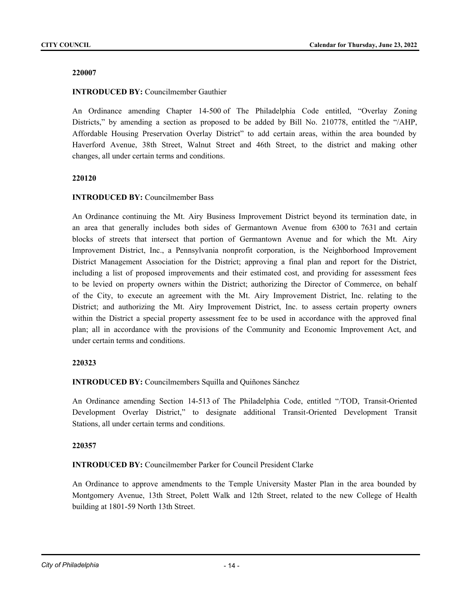## **INTRODUCED BY:** Councilmember Gauthier

An Ordinance amending Chapter 14-500 of The Philadelphia Code entitled, "Overlay Zoning Districts," by amending a section as proposed to be added by Bill No. 210778, entitled the "/AHP, Affordable Housing Preservation Overlay District" to add certain areas, within the area bounded by Haverford Avenue, 38th Street, Walnut Street and 46th Street, to the district and making other changes, all under certain terms and conditions.

### **220120**

# **INTRODUCED BY:** Councilmember Bass

An Ordinance continuing the Mt. Airy Business Improvement District beyond its termination date, in an area that generally includes both sides of Germantown Avenue from 6300 to 7631 and certain blocks of streets that intersect that portion of Germantown Avenue and for which the Mt. Airy Improvement District, Inc., a Pennsylvania nonprofit corporation, is the Neighborhood Improvement District Management Association for the District; approving a final plan and report for the District, including a list of proposed improvements and their estimated cost, and providing for assessment fees to be levied on property owners within the District; authorizing the Director of Commerce, on behalf of the City, to execute an agreement with the Mt. Airy Improvement District, Inc. relating to the District; and authorizing the Mt. Airy Improvement District, Inc. to assess certain property owners within the District a special property assessment fee to be used in accordance with the approved final plan; all in accordance with the provisions of the Community and Economic Improvement Act, and under certain terms and conditions.

# **220323**

**INTRODUCED BY:** Councilmembers Squilla and Quiñones Sánchez

An Ordinance amending Section 14-513 of The Philadelphia Code, entitled "/TOD, Transit-Oriented Development Overlay District," to designate additional Transit-Oriented Development Transit Stations, all under certain terms and conditions.

# **220357**

**INTRODUCED BY:** Councilmember Parker for Council President Clarke

An Ordinance to approve amendments to the Temple University Master Plan in the area bounded by Montgomery Avenue, 13th Street, Polett Walk and 12th Street, related to the new College of Health building at 1801-59 North 13th Street.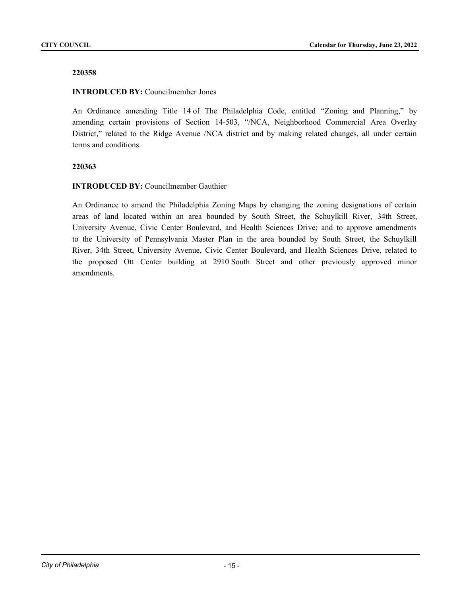## **INTRODUCED BY:** Councilmember Jones

An Ordinance amending Title 14 of The Philadelphia Code, entitled "Zoning and Planning," by amending certain provisions of Section 14-503, "/NCA, Neighborhood Commercial Area Overlay District," related to the Ridge Avenue /NCA district and by making related changes, all under certain terms and conditions.

### **220363**

### **INTRODUCED BY:** Councilmember Gauthier

An Ordinance to amend the Philadelphia Zoning Maps by changing the zoning designations of certain areas of land located within an area bounded by South Street, the Schuylkill River, 34th Street, University Avenue, Civic Center Boulevard, and Health Sciences Drive; and to approve amendments to the University of Pennsylvania Master Plan in the area bounded by South Street, the Schuylkill River, 34th Street, University Avenue, Civic Center Boulevard, and Health Sciences Drive, related to the proposed Ott Center building at 2910 South Street and other previously approved minor amendments.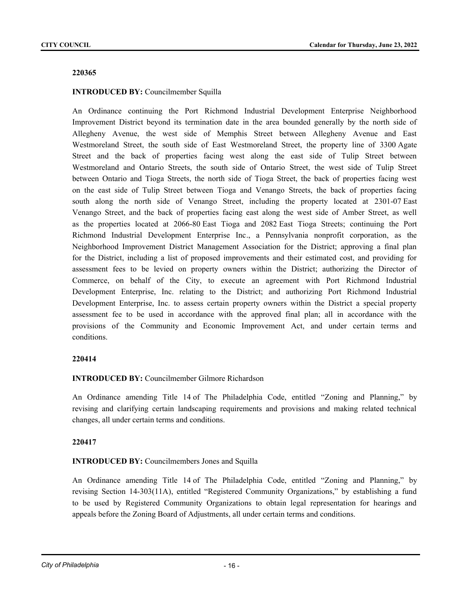# **INTRODUCED BY:** Councilmember Squilla

An Ordinance continuing the Port Richmond Industrial Development Enterprise Neighborhood Improvement District beyond its termination date in the area bounded generally by the north side of Allegheny Avenue, the west side of Memphis Street between Allegheny Avenue and East Westmoreland Street, the south side of East Westmoreland Street, the property line of 3300 Agate Street and the back of properties facing west along the east side of Tulip Street between Westmoreland and Ontario Streets, the south side of Ontario Street, the west side of Tulip Street between Ontario and Tioga Streets, the north side of Tioga Street, the back of properties facing west on the east side of Tulip Street between Tioga and Venango Streets, the back of properties facing south along the north side of Venango Street, including the property located at 2301-07 East Venango Street, and the back of properties facing east along the west side of Amber Street, as well as the properties located at 2066-80 East Tioga and 2082 East Tioga Streets; continuing the Port Richmond Industrial Development Enterprise Inc., a Pennsylvania nonprofit corporation, as the Neighborhood Improvement District Management Association for the District; approving a final plan for the District, including a list of proposed improvements and their estimated cost, and providing for assessment fees to be levied on property owners within the District; authorizing the Director of Commerce, on behalf of the City, to execute an agreement with Port Richmond Industrial Development Enterprise, Inc. relating to the District; and authorizing Port Richmond Industrial Development Enterprise, Inc. to assess certain property owners within the District a special property assessment fee to be used in accordance with the approved final plan; all in accordance with the provisions of the Community and Economic Improvement Act, and under certain terms and conditions.

# **220414**

# **INTRODUCED BY:** Councilmember Gilmore Richardson

An Ordinance amending Title 14 of The Philadelphia Code, entitled "Zoning and Planning," by revising and clarifying certain landscaping requirements and provisions and making related technical changes, all under certain terms and conditions.

# **220417**

# **INTRODUCED BY:** Councilmembers Jones and Squilla

An Ordinance amending Title 14 of The Philadelphia Code, entitled "Zoning and Planning," by revising Section 14-303(11A), entitled "Registered Community Organizations," by establishing a fund to be used by Registered Community Organizations to obtain legal representation for hearings and appeals before the Zoning Board of Adjustments, all under certain terms and conditions.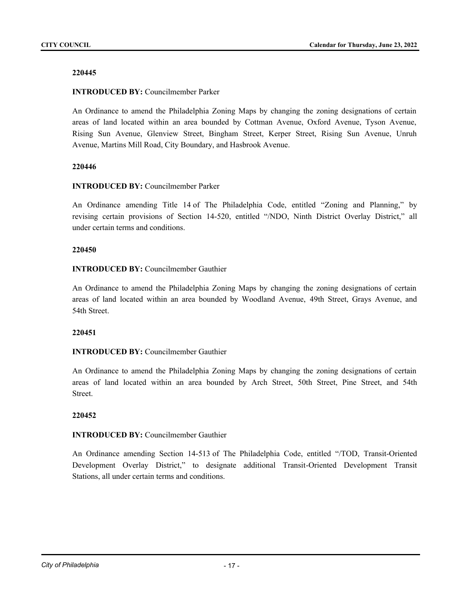## **INTRODUCED BY:** Councilmember Parker

An Ordinance to amend the Philadelphia Zoning Maps by changing the zoning designations of certain areas of land located within an area bounded by Cottman Avenue, Oxford Avenue, Tyson Avenue, Rising Sun Avenue, Glenview Street, Bingham Street, Kerper Street, Rising Sun Avenue, Unruh Avenue, Martins Mill Road, City Boundary, and Hasbrook Avenue.

### **220446**

### **INTRODUCED BY:** Councilmember Parker

An Ordinance amending Title 14 of The Philadelphia Code, entitled "Zoning and Planning," by revising certain provisions of Section 14-520, entitled "/NDO, Ninth District Overlay District," all under certain terms and conditions.

### **220450**

### **INTRODUCED BY:** Councilmember Gauthier

An Ordinance to amend the Philadelphia Zoning Maps by changing the zoning designations of certain areas of land located within an area bounded by Woodland Avenue, 49th Street, Grays Avenue, and 54th Street.

#### **220451**

# **INTRODUCED BY:** Councilmember Gauthier

An Ordinance to amend the Philadelphia Zoning Maps by changing the zoning designations of certain areas of land located within an area bounded by Arch Street, 50th Street, Pine Street, and 54th Street.

#### **220452**

# **INTRODUCED BY:** Councilmember Gauthier

An Ordinance amending Section 14-513 of The Philadelphia Code, entitled "/TOD, Transit-Oriented Development Overlay District," to designate additional Transit-Oriented Development Transit Stations, all under certain terms and conditions.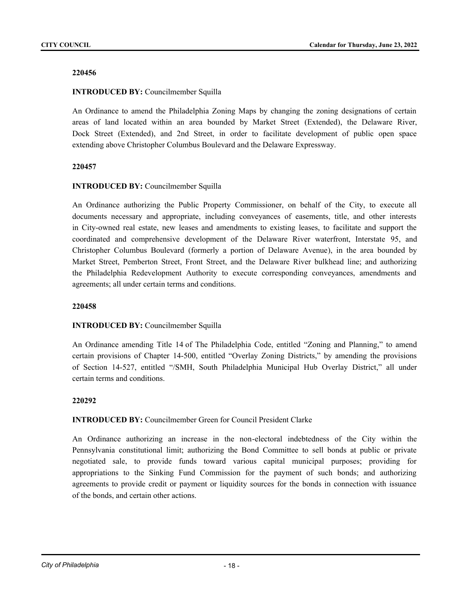# **INTRODUCED BY:** Councilmember Squilla

An Ordinance to amend the Philadelphia Zoning Maps by changing the zoning designations of certain areas of land located within an area bounded by Market Street (Extended), the Delaware River, Dock Street (Extended), and 2nd Street, in order to facilitate development of public open space extending above Christopher Columbus Boulevard and the Delaware Expressway.

### **220457**

# **INTRODUCED BY:** Councilmember Squilla

An Ordinance authorizing the Public Property Commissioner, on behalf of the City, to execute all documents necessary and appropriate, including conveyances of easements, title, and other interests in City-owned real estate, new leases and amendments to existing leases, to facilitate and support the coordinated and comprehensive development of the Delaware River waterfront, Interstate 95, and Christopher Columbus Boulevard (formerly a portion of Delaware Avenue), in the area bounded by Market Street, Pemberton Street, Front Street, and the Delaware River bulkhead line; and authorizing the Philadelphia Redevelopment Authority to execute corresponding conveyances, amendments and agreements; all under certain terms and conditions.

#### **220458**

# **INTRODUCED BY:** Councilmember Squilla

An Ordinance amending Title 14 of The Philadelphia Code, entitled "Zoning and Planning," to amend certain provisions of Chapter 14-500, entitled "Overlay Zoning Districts," by amending the provisions of Section 14-527, entitled "/SMH, South Philadelphia Municipal Hub Overlay District," all under certain terms and conditions.

#### **220292**

#### **INTRODUCED BY:** Councilmember Green for Council President Clarke

An Ordinance authorizing an increase in the non-electoral indebtedness of the City within the Pennsylvania constitutional limit; authorizing the Bond Committee to sell bonds at public or private negotiated sale, to provide funds toward various capital municipal purposes; providing for appropriations to the Sinking Fund Commission for the payment of such bonds; and authorizing agreements to provide credit or payment or liquidity sources for the bonds in connection with issuance of the bonds, and certain other actions.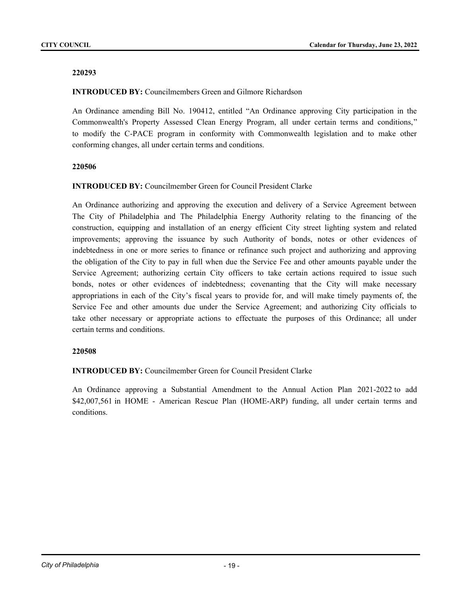### **INTRODUCED BY:** Councilmembers Green and Gilmore Richardson

An Ordinance amending Bill No. 190412, entitled "An Ordinance approving City participation in the Commonwealth's Property Assessed Clean Energy Program, all under certain terms and conditions," to modify the C-PACE program in conformity with Commonwealth legislation and to make other conforming changes, all under certain terms and conditions.

### **220506**

### **INTRODUCED BY:** Councilmember Green for Council President Clarke

An Ordinance authorizing and approving the execution and delivery of a Service Agreement between The City of Philadelphia and The Philadelphia Energy Authority relating to the financing of the construction, equipping and installation of an energy efficient City street lighting system and related improvements; approving the issuance by such Authority of bonds, notes or other evidences of indebtedness in one or more series to finance or refinance such project and authorizing and approving the obligation of the City to pay in full when due the Service Fee and other amounts payable under the Service Agreement; authorizing certain City officers to take certain actions required to issue such bonds, notes or other evidences of indebtedness; covenanting that the City will make necessary appropriations in each of the City's fiscal years to provide for, and will make timely payments of, the Service Fee and other amounts due under the Service Agreement; and authorizing City officials to take other necessary or appropriate actions to effectuate the purposes of this Ordinance; all under certain terms and conditions.

#### **220508**

#### **INTRODUCED BY:** Councilmember Green for Council President Clarke

An Ordinance approving a Substantial Amendment to the Annual Action Plan 2021-2022 to add \$42,007,561 in HOME - American Rescue Plan (HOME-ARP) funding, all under certain terms and conditions.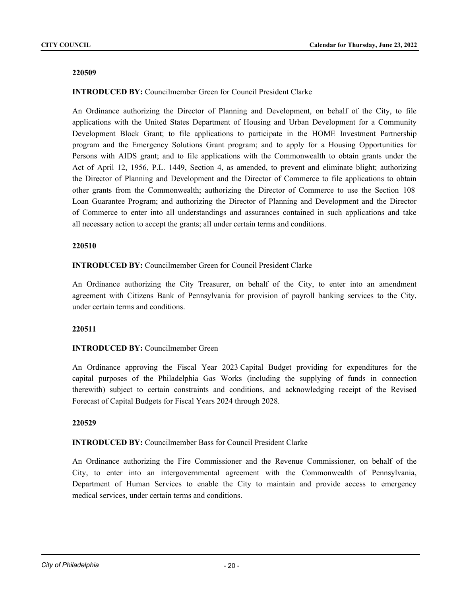# **INTRODUCED BY:** Councilmember Green for Council President Clarke

An Ordinance authorizing the Director of Planning and Development, on behalf of the City, to file applications with the United States Department of Housing and Urban Development for a Community Development Block Grant; to file applications to participate in the HOME Investment Partnership program and the Emergency Solutions Grant program; and to apply for a Housing Opportunities for Persons with AIDS grant; and to file applications with the Commonwealth to obtain grants under the Act of April 12, 1956, P.L. 1449, Section 4, as amended, to prevent and eliminate blight; authorizing the Director of Planning and Development and the Director of Commerce to file applications to obtain other grants from the Commonwealth; authorizing the Director of Commerce to use the Section 108 Loan Guarantee Program; and authorizing the Director of Planning and Development and the Director of Commerce to enter into all understandings and assurances contained in such applications and take all necessary action to accept the grants; all under certain terms and conditions.

#### **220510**

## **INTRODUCED BY:** Councilmember Green for Council President Clarke

An Ordinance authorizing the City Treasurer, on behalf of the City, to enter into an amendment agreement with Citizens Bank of Pennsylvania for provision of payroll banking services to the City, under certain terms and conditions.

#### **220511**

# **INTRODUCED BY:** Councilmember Green

An Ordinance approving the Fiscal Year 2023 Capital Budget providing for expenditures for the capital purposes of the Philadelphia Gas Works (including the supplying of funds in connection therewith) subject to certain constraints and conditions, and acknowledging receipt of the Revised Forecast of Capital Budgets for Fiscal Years 2024 through 2028.

#### **220529**

#### **INTRODUCED BY:** Councilmember Bass for Council President Clarke

An Ordinance authorizing the Fire Commissioner and the Revenue Commissioner, on behalf of the City, to enter into an intergovernmental agreement with the Commonwealth of Pennsylvania, Department of Human Services to enable the City to maintain and provide access to emergency medical services, under certain terms and conditions.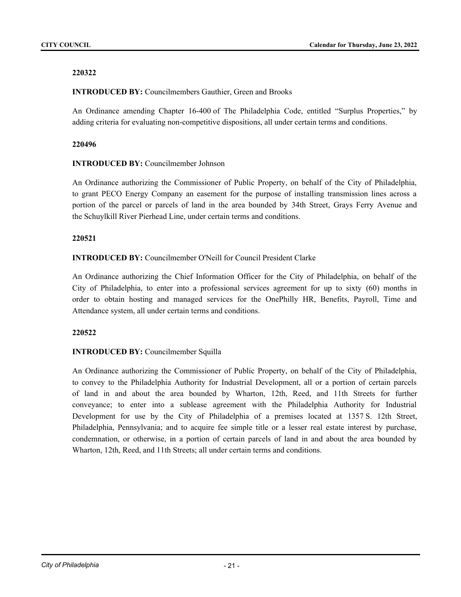# **INTRODUCED BY:** Councilmembers Gauthier, Green and Brooks

An Ordinance amending Chapter 16-400 of The Philadelphia Code, entitled "Surplus Properties," by adding criteria for evaluating non-competitive dispositions, all under certain terms and conditions.

# **220496**

# **INTRODUCED BY:** Councilmember Johnson

An Ordinance authorizing the Commissioner of Public Property, on behalf of the City of Philadelphia, to grant PECO Energy Company an easement for the purpose of installing transmission lines across a portion of the parcel or parcels of land in the area bounded by 34th Street, Grays Ferry Avenue and the Schuylkill River Pierhead Line, under certain terms and conditions.

# **220521**

# **INTRODUCED BY:** Councilmember O'Neill for Council President Clarke

An Ordinance authorizing the Chief Information Officer for the City of Philadelphia, on behalf of the City of Philadelphia, to enter into a professional services agreement for up to sixty (60) months in order to obtain hosting and managed services for the OnePhilly HR, Benefits, Payroll, Time and Attendance system, all under certain terms and conditions.

# **220522**

# **INTRODUCED BY:** Councilmember Squilla

An Ordinance authorizing the Commissioner of Public Property, on behalf of the City of Philadelphia, to convey to the Philadelphia Authority for Industrial Development, all or a portion of certain parcels of land in and about the area bounded by Wharton, 12th, Reed, and 11th Streets for further conveyance; to enter into a sublease agreement with the Philadelphia Authority for Industrial Development for use by the City of Philadelphia of a premises located at 1357 S. 12th Street, Philadelphia, Pennsylvania; and to acquire fee simple title or a lesser real estate interest by purchase, condemnation, or otherwise, in a portion of certain parcels of land in and about the area bounded by Wharton, 12th, Reed, and 11th Streets; all under certain terms and conditions.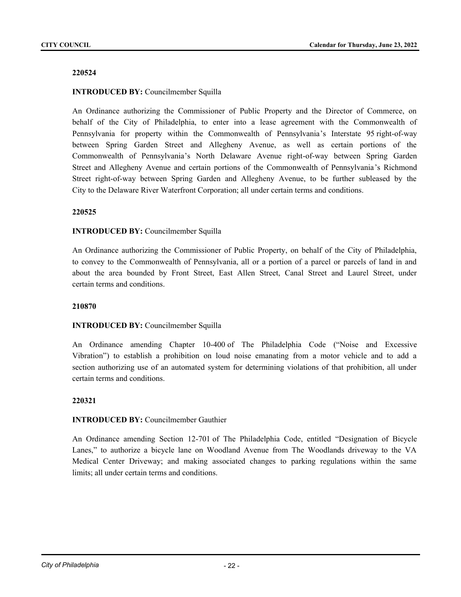# **INTRODUCED BY:** Councilmember Squilla

An Ordinance authorizing the Commissioner of Public Property and the Director of Commerce, on behalf of the City of Philadelphia, to enter into a lease agreement with the Commonwealth of Pennsylvania for property within the Commonwealth of Pennsylvania's Interstate 95 right-of-way between Spring Garden Street and Allegheny Avenue, as well as certain portions of the Commonwealth of Pennsylvania's North Delaware Avenue right-of-way between Spring Garden Street and Allegheny Avenue and certain portions of the Commonwealth of Pennsylvania's Richmond Street right-of-way between Spring Garden and Allegheny Avenue, to be further subleased by the City to the Delaware River Waterfront Corporation; all under certain terms and conditions.

### **220525**

### **INTRODUCED BY:** Councilmember Squilla

An Ordinance authorizing the Commissioner of Public Property, on behalf of the City of Philadelphia, to convey to the Commonwealth of Pennsylvania, all or a portion of a parcel or parcels of land in and about the area bounded by Front Street, East Allen Street, Canal Street and Laurel Street, under certain terms and conditions.

#### **210870**

# **INTRODUCED BY:** Councilmember Squilla

An Ordinance amending Chapter 10-400 of The Philadelphia Code ("Noise and Excessive Vibration") to establish a prohibition on loud noise emanating from a motor vehicle and to add a section authorizing use of an automated system for determining violations of that prohibition, all under certain terms and conditions.

#### **220321**

## **INTRODUCED BY:** Councilmember Gauthier

An Ordinance amending Section 12-701 of The Philadelphia Code, entitled "Designation of Bicycle Lanes," to authorize a bicycle lane on Woodland Avenue from The Woodlands driveway to the VA Medical Center Driveway; and making associated changes to parking regulations within the same limits; all under certain terms and conditions.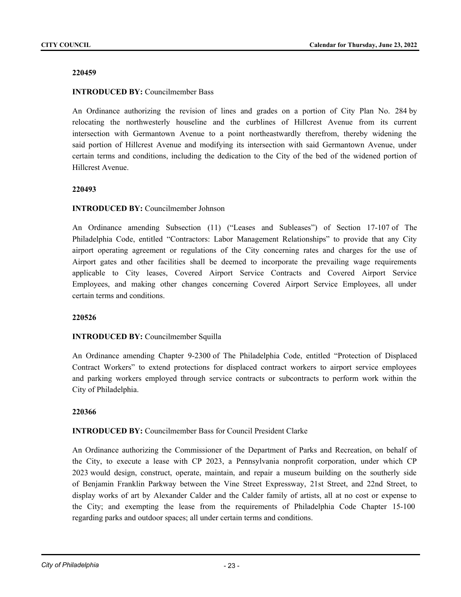## **INTRODUCED BY:** Councilmember Bass

An Ordinance authorizing the revision of lines and grades on a portion of City Plan No. 284 by relocating the northwesterly houseline and the curblines of Hillcrest Avenue from its current intersection with Germantown Avenue to a point northeastwardly therefrom, thereby widening the said portion of Hillcrest Avenue and modifying its intersection with said Germantown Avenue, under certain terms and conditions, including the dedication to the City of the bed of the widened portion of Hillcrest Avenue.

### **220493**

### **INTRODUCED BY:** Councilmember Johnson

An Ordinance amending Subsection (11) ("Leases and Subleases") of Section 17-107 of The Philadelphia Code, entitled "Contractors: Labor Management Relationships" to provide that any City airport operating agreement or regulations of the City concerning rates and charges for the use of Airport gates and other facilities shall be deemed to incorporate the prevailing wage requirements applicable to City leases, Covered Airport Service Contracts and Covered Airport Service Employees, and making other changes concerning Covered Airport Service Employees, all under certain terms and conditions.

# **220526**

# **INTRODUCED BY:** Councilmember Squilla

An Ordinance amending Chapter 9-2300 of The Philadelphia Code, entitled "Protection of Displaced Contract Workers" to extend protections for displaced contract workers to airport service employees and parking workers employed through service contracts or subcontracts to perform work within the City of Philadelphia.

#### **220366**

# **INTRODUCED BY:** Councilmember Bass for Council President Clarke

An Ordinance authorizing the Commissioner of the Department of Parks and Recreation, on behalf of the City, to execute a lease with CP 2023, a Pennsylvania nonprofit corporation, under which CP 2023 would design, construct, operate, maintain, and repair a museum building on the southerly side of Benjamin Franklin Parkway between the Vine Street Expressway, 21st Street, and 22nd Street, to display works of art by Alexander Calder and the Calder family of artists, all at no cost or expense to the City; and exempting the lease from the requirements of Philadelphia Code Chapter 15-100 regarding parks and outdoor spaces; all under certain terms and conditions.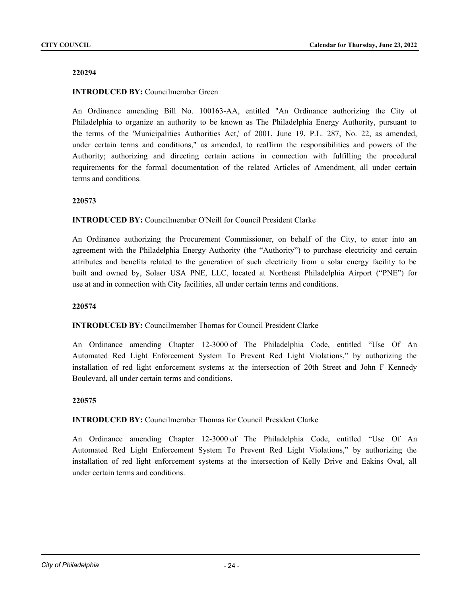## **INTRODUCED BY:** Councilmember Green

An Ordinance amending Bill No. 100163-AA, entitled "An Ordinance authorizing the City of Philadelphia to organize an authority to be known as The Philadelphia Energy Authority, pursuant to the terms of the 'Municipalities Authorities Act,' of 2001, June 19, P.L. 287, No. 22, as amended, under certain terms and conditions," as amended, to reaffirm the responsibilities and powers of the Authority; authorizing and directing certain actions in connection with fulfilling the procedural requirements for the formal documentation of the related Articles of Amendment, all under certain terms and conditions.

### **220573**

# **INTRODUCED BY:** Councilmember O'Neill for Council President Clarke

An Ordinance authorizing the Procurement Commissioner, on behalf of the City, to enter into an agreement with the Philadelphia Energy Authority (the "Authority") to purchase electricity and certain attributes and benefits related to the generation of such electricity from a solar energy facility to be built and owned by, Solaer USA PNE, LLC, located at Northeast Philadelphia Airport ("PNE") for use at and in connection with City facilities, all under certain terms and conditions.

#### **220574**

#### **INTRODUCED BY:** Councilmember Thomas for Council President Clarke

An Ordinance amending Chapter 12-3000 of The Philadelphia Code, entitled "Use Of An Automated Red Light Enforcement System To Prevent Red Light Violations," by authorizing the installation of red light enforcement systems at the intersection of 20th Street and John F Kennedy Boulevard, all under certain terms and conditions.

#### **220575**

#### **INTRODUCED BY:** Councilmember Thomas for Council President Clarke

An Ordinance amending Chapter 12-3000 of The Philadelphia Code, entitled "Use Of An Automated Red Light Enforcement System To Prevent Red Light Violations," by authorizing the installation of red light enforcement systems at the intersection of Kelly Drive and Eakins Oval, all under certain terms and conditions.